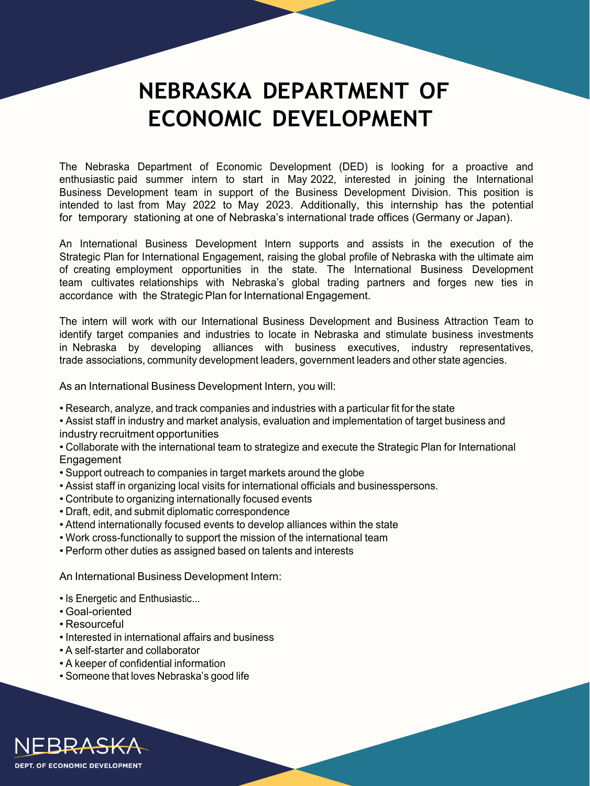## **NEBRASKA DEPARTMENT OF ECONOMIC DEVELOPMENT**

The Nebraska Department of Economic Development (DED) is looking for a proactive and enthusiastic paid summer intern to start in May 2022, interested in joining the International Business Development team in support of the Business Development Division. This position is intended to last from May 2022 to May 2023. Additionally, this internship has the potential for temporary stationing at one of Nebraska's international trade offices (Germany or Japan).

An International Business Development Intern supports and assists in the execution of the Strategic Plan for International Engagement, raising the global profile of Nebraska with the ultimate aim of creating employment opportunities in the state. The International Business Development team cultivates relationships with Nebraska's global trading partners and forges new ties in accordance with the Strategic Plan for International Engagement.

The intern will work with our International Business Development and Business Attraction Team to identify target companies and industries to locate in Nebraska and stimulate business investments in Nebraska by developing alliances with business executives, industry representatives, trade associations, community development leaders, government leaders and other state agencies.

As an International Business Development Intern, you will:

• Research, analyze, and track companies and industries with a particular fit for the state

• Assist staff in industry and market analysis, evaluation and implementation of target business and industry recruitment opportunities

- Collaborate with the international team to strategize and execute the Strategic Plan for International Engagement
- Support outreach to companies in target markets around the globe
- Assist staff in organizing local visits for international officials and businesspersons.
- Contribute to organizing internationally focused events
- Draft, edit, and submit diplomatic correspondence
- Attend internationally focused events to develop alliances within the state
- Work cross-functionally to support the mission of the international team
- Perform other duties as assigned based on talents and interests

An International Business Development Intern:

- Is Energetic and Enthusiastic...
- Goal-oriented
- Resourceful
- Interested in international affairs and business
- A self-starter and collaborator
- A keeper of confidential information
- Someone that loves Nebraska's good life



DEPT. OF ECONOMIC DEVELOPMENT